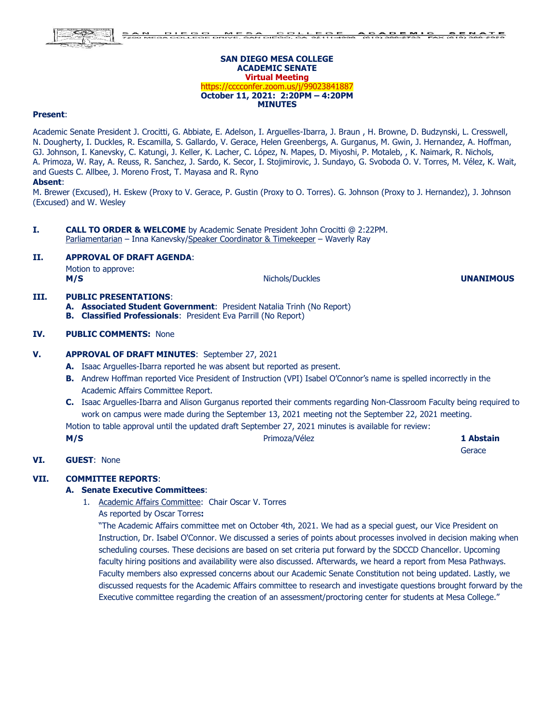#### **SAN DIEGO MESA COLLEGE ACADEMIC SENATE Virtual Meeting** https://cccconfer.zoom.us/j/99023841887 **October 11, 2021: 2:20PM – 4:20PM MINUTES**

#### **Present**:

Academic Senate President J. Crocitti, G. Abbiate, E. Adelson, I. Arguelles-Ibarra, J. Braun , H. Browne, D. Budzynski, L. Cresswell, N. Dougherty, I. Duckles, R. Escamilla, S. Gallardo, V. Gerace, Helen Greenbergs, A. Gurganus, M. Gwin, J. Hernandez, A. Hoffman, GJ. Johnson, I. Kanevsky, C. Katungi, J. Keller, K. Lacher, C. López, N. Mapes, D. Miyoshi, P. Motaleb, , K. Naimark, R. Nichols, A. Primoza, W. Ray, A. Reuss, R. Sanchez, J. Sardo, K. Secor, I. Stojimirovic, J. Sundayo, G. Svoboda O. V. Torres, M. Vélez, K. Wait, and Guests C. Allbee, J. Moreno Frost, T. Mayasa and R. Ryno

#### **Absent**:

M. Brewer (Excused), H. Eskew (Proxy to V. Gerace, P. Gustin (Proxy to O. Torres). G. Johnson (Proxy to J. Hernandez), J. Johnson (Excused) and W. Wesley

**I. CALL TO ORDER & WELCOME** by Academic Senate President John Crocitti @ 2:22PM. Parliamentarian – Inna Kanevsky/Speaker Coordinator & Timekeeper – Waverly Ray

#### **II. APPROVAL OF DRAFT AGENDA**:

Motion to approve: **M/S** Nichols/Duckles **Nichols/Duckles UNANIMOUS** 

# **III. PUBLIC PRESENTATIONS**:

**A. Associated Student Government**: President Natalia Trinh (No Report) **B. Classified Professionals**: President Eva Parrill (No Report)

#### **IV. PUBLIC COMMENTS:** None

#### **V. APPROVAL OF DRAFT MINUTES**: September 27, 2021

- **A.** Isaac Arguelles-Ibarra reported he was absent but reported as present.
- **B.** Andrew Hoffman reported Vice President of Instruction (VPI) Isabel O'Connor's name is spelled incorrectly in the Academic Affairs Committee Report.
- **C.** Isaac Arguelles-Ibarra and Alison Gurganus reported their comments regarding Non-Classroom Faculty being required to work on campus were made during the September 13, 2021 meeting not the September 22, 2021 meeting.

Motion to table approval until the updated draft September 27, 2021 minutes is available for review:

**M/S Primoza/Vélez <b>1 Abstain 1 Abstain** 

**Gerace** 

**VI. GUEST**: None

# **VII. COMMITTEE REPORTS**:

## **A. Senate Executive Committees**:

- 1. Academic Affairs Committee: Chair Oscar V. Torres
	- As reported by Oscar Torres**:**

"The Academic Affairs committee met on October 4th, 2021. We had as a special guest, our Vice President on Instruction, Dr. Isabel O'Connor. We discussed a series of points about processes involved in decision making when scheduling courses. These decisions are based on set criteria put forward by the SDCCD Chancellor. Upcoming faculty hiring positions and availability were also discussed. Afterwards, we heard a report from Mesa Pathways. Faculty members also expressed concerns about our Academic Senate Constitution not being updated. Lastly, we discussed requests for the Academic Affairs committee to research and investigate questions brought forward by the Executive committee regarding the creation of an assessment/proctoring center for students at Mesa College."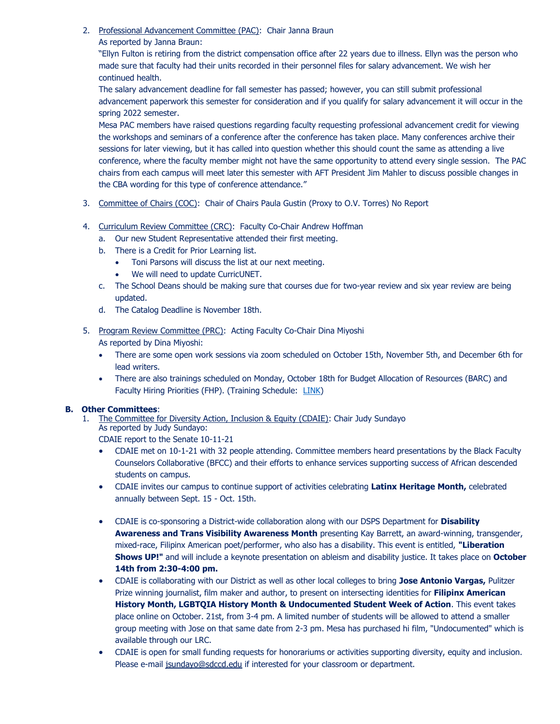- 2. Professional Advancement Committee (PAC): Chair Janna Braun
	- As reported by Janna Braun:

"Ellyn Fulton is retiring from the district compensation office after 22 years due to illness. Ellyn was the person who made sure that faculty had their units recorded in their personnel files for salary advancement. We wish her continued health.

The salary advancement deadline for fall semester has passed; however, you can still submit professional advancement paperwork this semester for consideration and if you qualify for salary advancement it will occur in the spring 2022 semester.

Mesa PAC members have raised questions regarding faculty requesting professional advancement credit for viewing the workshops and seminars of a conference after the conference has taken place. Many conferences archive their sessions for later viewing, but it has called into question whether this should count the same as attending a live conference, where the faculty member might not have the same opportunity to attend every single session. The PAC chairs from each campus will meet later this semester with AFT President Jim Mahler to discuss possible changes in the CBA wording for this type of conference attendance."

- 3. Committee of Chairs (COC): Chair of Chairs Paula Gustin (Proxy to O.V. Torres) No Report
- 4. Curriculum Review Committee (CRC): Faculty Co-Chair Andrew Hoffman
	- a. Our new Student Representative attended their first meeting.
	- b. There is a Credit for Prior Learning list.
		- Toni Parsons will discuss the list at our next meeting.
		- We will need to update CurricUNET.
	- c. The School Deans should be making sure that courses due for two-year review and six year review are being updated.
	- d. The Catalog Deadline is November 18th.

5. Program Review Committee (PRC): Acting Faculty Co-Chair Dina Miyoshi As reported by Dina Miyoshi:

- There are some open work sessions via zoom scheduled on October 15th, November 5th, and December 6th for lead writers.
- There are also trainings scheduled on Monday, October 18th for Budget Allocation of Resources (BARC) and Faculty Hiring Priorities (FHP). (Training Schedule: [LINK\)](https://www.sdmesa.edu/about-mesa/institutional-effectiveness/program-review/program-review-archives/Program%20Riview%20-%20Training%20Schedule%202021-2022%20final%2009-29-21.pdf)

## **B. Other Committees**:

- 1. The Committee for Diversity Action, Inclusion & Equity (CDAIE): Chair Judy Sundayo As reported by Judy Sundayo:
	- CDAIE report to the Senate 10-11-21
	- CDAIE met on 10-1-21 with 32 people attending. Committee members heard presentations by the Black Faculty Counselors Collaborative (BFCC) and their efforts to enhance services supporting success of African descended students on campus.
	- CDAIE invites our campus to continue support of activities celebrating **Latinx Heritage Month,** celebrated annually between Sept. 15 - Oct. 15th.
	- CDAIE is co-sponsoring a District-wide collaboration along with our DSPS Department for **Disability Awareness and Trans Visibility Awareness Month** presenting Kay Barrett, an award-winning, transgender, mixed-race, Filipinx American poet/performer, who also has a disability. This event is entitled, **"Liberation Shows UP!"** and will include a keynote presentation on ableism and disability justice. It takes place on **October 14th from 2:30-4:00 pm.**
	- CDAIE is collaborating with our District as well as other local colleges to bring **Jose Antonio Vargas,** Pulitzer Prize winning journalist, film maker and author, to present on intersecting identities for **Filipinx American History Month, LGBTQIA History Month & Undocumented Student Week of Action**. This event takes place online on October. 21st, from 3-4 pm. A limited number of students will be allowed to attend a smaller group meeting with Jose on that same date from 2-3 pm. Mesa has purchased hi film, "Undocumented" which is available through our LRC.
	- CDAIE is open for small funding requests for honorariums or activities supporting diversity, equity and inclusion. Please e-mail [jsundayo@sdccd.edu](mailto:jsundayo@sdccd.edu) if interested for your classroom or department.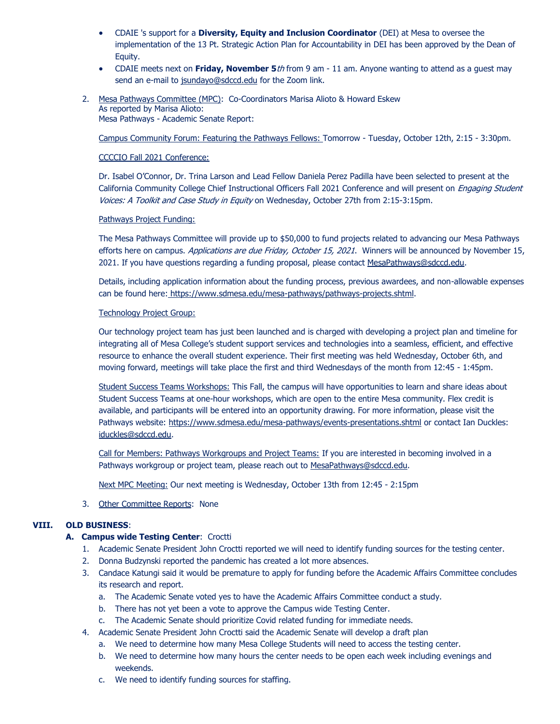- CDAIE 's support for a **Diversity, Equity and Inclusion Coordinator** (DEI) at Mesa to oversee the implementation of the 13 Pt. Strategic Action Plan for Accountability in DEI has been approved by the Dean of Equity.
- CDAIE meets next on **Friday, November 5**th from 9 am 11 am. Anyone wanting to attend as a guest may send an e-mail to [jsundayo@sdccd.edu](mailto:jsundayo@sdccd.edu) for the Zoom link.
- 2. Mesa Pathways Committee (MPC): Co-Coordinators Marisa Alioto & Howard Eskew As reported by Marisa Alioto: Mesa Pathways - Academic Senate Report:

Campus Community Forum: Featuring the Pathways Fellows: Tomorrow - Tuesday, October 12th, 2:15 - 3:30pm.

## CCCCIO Fall 2021 Conference:

Dr. Isabel O'Connor, Dr. Trina Larson and Lead Fellow Daniela Perez Padilla have been selected to present at the California Community College Chief Instructional Officers Fall 2021 Conference and will present on *Engaging Student* Voices: A Toolkit and Case Study in Equity on Wednesday, October 27th from 2:15-3:15pm.

#### Pathways Project Funding:

The Mesa Pathways Committee will provide up to \$50,000 to fund projects related to advancing our Mesa Pathways efforts here on campus. Applications are due Friday, October 15, 2021. Winners will be announced by November 15, 2021. If you have questions regarding a funding proposal, please contact [MesaPathways@sdccd.edu.](mailto:MesaPathways@sdccd.edu)

Details, including application information about the funding process, previous awardees, and non-allowable expenses can be found here: [https://www.sdmesa.edu/mesa-pathways/pathways-projects.shtml.](https://www.sdmesa.edu/mesa-pathways/pathways-projects.shtml)

#### Technology Project Group:

Our technology project team has just been launched and is charged with developing a project plan and timeline for integrating all of Mesa College's student support services and technologies into a seamless, efficient, and effective resource to enhance the overall student experience. Their first meeting was held Wednesday, October 6th, and moving forward, meetings will take place the first and third Wednesdays of the month from 12:45 - 1:45pm.

Student Success Teams Workshops: This Fall, the campus will have opportunities to learn and share ideas about Student Success Teams at one-hour workshops, which are open to the entire Mesa community. Flex credit is available, and participants will be entered into an opportunity drawing. For more information, please visit the Pathways website:<https://www.sdmesa.edu/mesa-pathways/events-presentations.shtml> or contact Ian Duckles: [iduckles@sdccd.edu.](mailto:iduckles@sdccd.edu)

Call for Members: Pathways Workgroups and Project Teams: If you are interested in becoming involved in a Pathways workgroup or project team, please reach out to [MesaPathways@sdccd.edu.](mailto:MesaPathways@sdccd.edu)

Next MPC Meeting: Our next meeting is Wednesday, October 13th from 12:45 - 2:15pm

3. Other Committee Reports: None

## **VIII. OLD BUSINESS**:

## **A. Campus wide Testing Center**: Croctti

- 1. Academic Senate President John Croctti reported we will need to identify funding sources for the testing center.
- 2. Donna Budzynski reported the pandemic has created a lot more absences.
- 3. Candace Katungi said it would be premature to apply for funding before the Academic Affairs Committee concludes its research and report.
	- a. The Academic Senate voted yes to have the Academic Affairs Committee conduct a study.
	- b. There has not yet been a vote to approve the Campus wide Testing Center.
	- c. The Academic Senate should prioritize Covid related funding for immediate needs.
- 4. Academic Senate President John Croctti said the Academic Senate will develop a draft plan
	- a. We need to determine how many Mesa College Students will need to access the testing center.
	- b. We need to determine how many hours the center needs to be open each week including evenings and weekends.
	- c. We need to identify funding sources for staffing.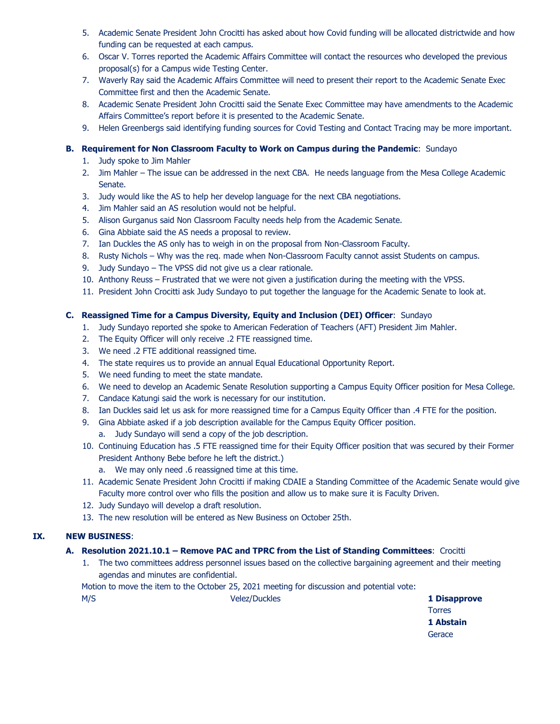- 5. Academic Senate President John Crocitti has asked about how Covid funding will be allocated districtwide and how funding can be requested at each campus.
- 6. Oscar V. Torres reported the Academic Affairs Committee will contact the resources who developed the previous proposal(s) for a Campus wide Testing Center.
- 7. Waverly Ray said the Academic Affairs Committee will need to present their report to the Academic Senate Exec Committee first and then the Academic Senate.
- 8. Academic Senate President John Crocitti said the Senate Exec Committee may have amendments to the Academic Affairs Committee's report before it is presented to the Academic Senate.
- 9. Helen Greenbergs said identifying funding sources for Covid Testing and Contact Tracing may be more important.

# **B. Requirement for Non Classroom Faculty to Work on Campus during the Pandemic**: Sundayo

- 1. Judy spoke to Jim Mahler
- 2. Jim Mahler The issue can be addressed in the next CBA. He needs language from the Mesa College Academic Senate.
- 3. Judy would like the AS to help her develop language for the next CBA negotiations.
- 4. Jim Mahler said an AS resolution would not be helpful.
- 5. Alison Gurganus said Non Classroom Faculty needs help from the Academic Senate.
- 6. Gina Abbiate said the AS needs a proposal to review.
- 7. Ian Duckles the AS only has to weigh in on the proposal from Non-Classroom Faculty.
- 8. Rusty Nichols Why was the req. made when Non-Classroom Faculty cannot assist Students on campus.
- 9. Judy Sundayo The VPSS did not give us a clear rationale.
- 10. Anthony Reuss Frustrated that we were not given a justification during the meeting with the VPSS.
- 11. President John Crocitti ask Judy Sundayo to put together the language for the Academic Senate to look at.

# **C. Reassigned Time for a Campus Diversity, Equity and Inclusion (DEI) Officer**: Sundayo

- 1. Judy Sundayo reported she spoke to American Federation of Teachers (AFT) President Jim Mahler.
- 2. The Equity Officer will only receive .2 FTE reassigned time.
- 3. We need .2 FTE additional reassigned time.
- 4. The state requires us to provide an annual Equal Educational Opportunity Report.
- 5. We need funding to meet the state mandate.
- 6. We need to develop an Academic Senate Resolution supporting a Campus Equity Officer position for Mesa College.
- 7. Candace Katungi said the work is necessary for our institution.
- 8. Ian Duckles said let us ask for more reassigned time for a Campus Equity Officer than .4 FTE for the position.
- 9. Gina Abbiate asked if a job description available for the Campus Equity Officer position.
	- a. Judy Sundayo will send a copy of the job description.
- 10. Continuing Education has .5 FTE reassigned time for their Equity Officer position that was secured by their Former President Anthony Bebe before he left the district.)
	- a. We may only need .6 reassigned time at this time.
- 11. Academic Senate President John Crocitti if making CDAIE a Standing Committee of the Academic Senate would give Faculty more control over who fills the position and allow us to make sure it is Faculty Driven.
- 12. Judy Sundayo will develop a draft resolution.
- 13. The new resolution will be entered as New Business on October 25th.

## **IX. NEW BUSINESS**:

# **A. Resolution 2021.10.1 – Remove PAC and TPRC from the List of Standing Committees**: Crocitti

1. The two committees address personnel issues based on the collective bargaining agreement and their meeting agendas and minutes are confidential.

Motion to move the item to the October 25, 2021 meeting for discussion and potential vote: M/S Velez/Duckles **1 Disapprove**

Torres **1 Abstain Gerace**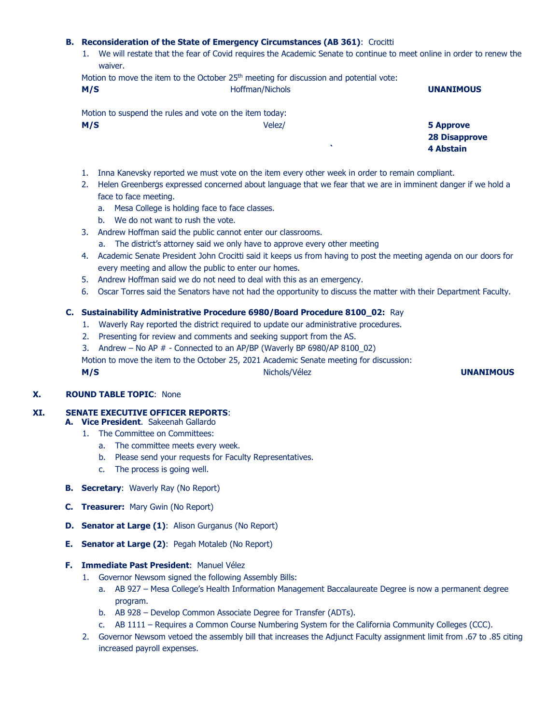#### **B. Reconsideration of the State of Emergency Circumstances (AB 361)**: Crocitti

1. We will restate that the fear of Covid requires the Academic Senate to continue to meet online in order to renew the waiver.

|     | Motion to move the item to the October 25 <sup>th</sup> meeting for discussion and potential vote: |  |
|-----|----------------------------------------------------------------------------------------------------|--|
| M/C | Hoffman/Nicholc                                                                                    |  |

| M/S | Hoffman/Nichols                                         | <b>UNANIMOUS</b>     |
|-----|---------------------------------------------------------|----------------------|
|     | Motion to suspend the rules and vote on the item today: |                      |
| M/S | Velez/                                                  | 5 Approve            |
|     |                                                         | <b>28 Disapprove</b> |
|     | $\cdot$                                                 | 4 Abstain            |

- 1. Inna Kanevsky reported we must vote on the item every other week in order to remain compliant.
- 2. Helen Greenbergs expressed concerned about language that we fear that we are in imminent danger if we hold a face to face meeting.
	- a. Mesa College is holding face to face classes.
	- b. We do not want to rush the vote.
- 3. Andrew Hoffman said the public cannot enter our classrooms.
	- a. The district's attorney said we only have to approve every other meeting
- 4. Academic Senate President John Crocitti said it keeps us from having to post the meeting agenda on our doors for every meeting and allow the public to enter our homes.
- 5. Andrew Hoffman said we do not need to deal with this as an emergency.
- 6. Oscar Torres said the Senators have not had the opportunity to discuss the matter with their Department Faculty.

#### **C. Sustainability Administrative Procedure 6980/Board Procedure 8100\_02:** Ray

- 1. Waverly Ray reported the district required to update our administrative procedures.
- 2. Presenting for review and comments and seeking support from the AS.
- 3. Andrew No AP  $#$  Connected to an AP/BP (Waverly BP 6980/AP 8100 02)
- Motion to move the item to the October 25, 2021 Academic Senate meeting for discussion:

**M/S** Nichols/Vélez **UNANIMOUS**

## **X. ROUND TABLE TOPIC**: None

## **XI. SENATE EXECUTIVE OFFICER REPORTS**:

- **A. Vice President**. Sakeenah Gallardo
	- 1. The Committee on Committees:
		- a. The committee meets every week.
		- b. Please send your requests for Faculty Representatives.
		- c. The process is going well.
- **B. Secretary**: Waverly Ray (No Report)
- **C. Treasurer:** Mary Gwin (No Report)
- **D. Senator at Large (1)**: Alison Gurganus (No Report)
- **E. Senator at Large (2)**: Pegah Motaleb (No Report)
- **F. Immediate Past President**: Manuel Vélez
	- 1. Governor Newsom signed the following Assembly Bills:
		- a. AB 927 Mesa College's Health Information Management Baccalaureate Degree is now a permanent degree program.
		- b. AB 928 Develop Common Associate Degree for Transfer (ADTs).
		- c. AB 1111 Requires a Common Course Numbering System for the California Community Colleges (CCC).
	- 2. Governor Newsom vetoed the assembly bill that increases the Adjunct Faculty assignment limit from .67 to .85 citing increased payroll expenses.